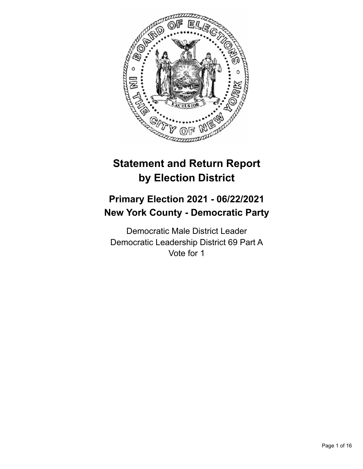

# **Statement and Return Report by Election District**

# **Primary Election 2021 - 06/22/2021 New York County - Democratic Party**

Democratic Male District Leader Democratic Leadership District 69 Part A Vote for 1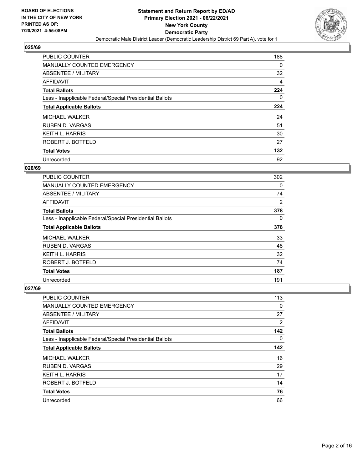

| <b>PUBLIC COUNTER</b>                                    | 188      |
|----------------------------------------------------------|----------|
| MANUALLY COUNTED EMERGENCY                               | $\Omega$ |
| ABSENTEE / MILITARY                                      | 32       |
| <b>AFFIDAVIT</b>                                         | 4        |
| <b>Total Ballots</b>                                     | 224      |
| Less - Inapplicable Federal/Special Presidential Ballots | $\Omega$ |
| <b>Total Applicable Ballots</b>                          | 224      |
| <b>MICHAEL WALKER</b>                                    | 24       |
| <b>RUBEN D. VARGAS</b>                                   | 51       |
| <b>KEITH L. HARRIS</b>                                   | 30       |
| ROBERT J. BOTFELD                                        | 27       |
| <b>Total Votes</b>                                       | 132      |
| Unrecorded                                               | 92       |

# **026/69**

| PUBLIC COUNTER                                           | 302      |
|----------------------------------------------------------|----------|
| <b>MANUALLY COUNTED EMERGENCY</b>                        | 0        |
| ABSENTEE / MILITARY                                      | 74       |
| AFFIDAVIT                                                | 2        |
| <b>Total Ballots</b>                                     | 378      |
| Less - Inapplicable Federal/Special Presidential Ballots | $\Omega$ |
| <b>Total Applicable Ballots</b>                          | 378      |
| <b>MICHAEL WALKER</b>                                    | 33       |
| <b>RUBEN D. VARGAS</b>                                   | 48       |
| <b>KEITH L. HARRIS</b>                                   | 32       |
| ROBERT J. BOTFELD                                        | 74       |
| <b>Total Votes</b>                                       | 187      |
| Unrecorded                                               | 191      |

| PUBLIC COUNTER                                           | 113      |
|----------------------------------------------------------|----------|
| <b>MANUALLY COUNTED EMERGENCY</b>                        | 0        |
| ABSENTEE / MILITARY                                      | 27       |
| AFFIDAVIT                                                | 2        |
| <b>Total Ballots</b>                                     | 142      |
| Less - Inapplicable Federal/Special Presidential Ballots | $\Omega$ |
| <b>Total Applicable Ballots</b>                          | 142      |
| <b>MICHAEL WALKER</b>                                    | 16       |
| <b>RUBEN D. VARGAS</b>                                   | 29       |
| <b>KEITH L. HARRIS</b>                                   | 17       |
| ROBERT J. BOTFELD                                        | 14       |
| <b>Total Votes</b>                                       | 76       |
| Unrecorded                                               | 66       |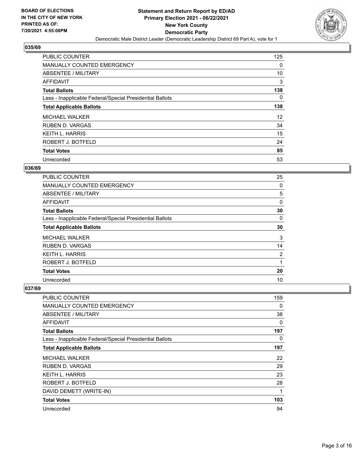

| <b>PUBLIC COUNTER</b>                                    | 125      |
|----------------------------------------------------------|----------|
| <b>MANUALLY COUNTED EMERGENCY</b>                        | $\Omega$ |
| ABSENTEE / MILITARY                                      | 10       |
| <b>AFFIDAVIT</b>                                         | 3        |
| <b>Total Ballots</b>                                     | 138      |
| Less - Inapplicable Federal/Special Presidential Ballots | $\Omega$ |
| <b>Total Applicable Ballots</b>                          | 138      |
| <b>MICHAEL WALKER</b>                                    | 12       |
| <b>RUBEN D. VARGAS</b>                                   | 34       |
| <b>KEITH L. HARRIS</b>                                   | 15       |
| ROBERT J. BOTFELD                                        | 24       |
| <b>Total Votes</b>                                       | 85       |
| Unrecorded                                               | 53       |

# **036/69**

| PUBLIC COUNTER                                           | 25       |
|----------------------------------------------------------|----------|
| <b>MANUALLY COUNTED EMERGENCY</b>                        | 0        |
| ABSENTEE / MILITARY                                      | 5        |
| AFFIDAVIT                                                | 0        |
| <b>Total Ballots</b>                                     | 30       |
| Less - Inapplicable Federal/Special Presidential Ballots | $\Omega$ |
| <b>Total Applicable Ballots</b>                          | 30       |
| <b>MICHAEL WALKER</b>                                    | 3        |
| <b>RUBEN D. VARGAS</b>                                   | 14       |
| <b>KEITH L. HARRIS</b>                                   | 2        |
| ROBERT J. BOTFELD                                        |          |
| <b>Total Votes</b>                                       | 20       |
| Unrecorded                                               | 10       |

| PUBLIC COUNTER                                           | 159 |
|----------------------------------------------------------|-----|
| <b>MANUALLY COUNTED EMERGENCY</b>                        | 0   |
| ABSENTEE / MILITARY                                      | 38  |
| AFFIDAVIT                                                | 0   |
| <b>Total Ballots</b>                                     | 197 |
| Less - Inapplicable Federal/Special Presidential Ballots | 0   |
| <b>Total Applicable Ballots</b>                          | 197 |
| <b>MICHAEL WALKER</b>                                    | 22  |
| <b>RUBEN D. VARGAS</b>                                   | 29  |
| <b>KEITH L. HARRIS</b>                                   | 23  |
| ROBERT J. BOTFELD                                        | 28  |
| DAVID DEMETT (WRITE-IN)                                  | 1   |
| <b>Total Votes</b>                                       | 103 |
| Unrecorded                                               | 94  |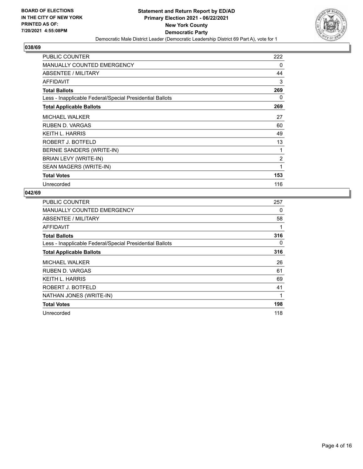

| <b>PUBLIC COUNTER</b>                                    | 222            |
|----------------------------------------------------------|----------------|
| <b>MANUALLY COUNTED EMERGENCY</b>                        | 0              |
| <b>ABSENTEE / MILITARY</b>                               | 44             |
| <b>AFFIDAVIT</b>                                         | 3              |
| <b>Total Ballots</b>                                     | 269            |
| Less - Inapplicable Federal/Special Presidential Ballots | 0              |
| <b>Total Applicable Ballots</b>                          | 269            |
| <b>MICHAEL WALKER</b>                                    | 27             |
| <b>RUBEN D. VARGAS</b>                                   | 60             |
| <b>KEITH L. HARRIS</b>                                   | 49             |
| ROBERT J. BOTFELD                                        | 13             |
| BERNIE SANDERS (WRITE-IN)                                | 1              |
| BRIAN LEVY (WRITE-IN)                                    | $\overline{2}$ |
| SEAN MAGERS (WRITE-IN)                                   | 1              |
| <b>Total Votes</b>                                       | 153            |
| Unrecorded                                               | 116            |

| <b>PUBLIC COUNTER</b>                                    | 257 |
|----------------------------------------------------------|-----|
| MANUALLY COUNTED EMERGENCY                               | 0   |
| ABSENTEE / MILITARY                                      | 58  |
| AFFIDAVIT                                                | 1   |
| <b>Total Ballots</b>                                     | 316 |
| Less - Inapplicable Federal/Special Presidential Ballots | 0   |
| <b>Total Applicable Ballots</b>                          | 316 |
| <b>MICHAEL WALKER</b>                                    | 26  |
| <b>RUBEN D. VARGAS</b>                                   | 61  |
| <b>KEITH L. HARRIS</b>                                   | 69  |
| ROBERT J. BOTFELD                                        | 41  |
| NATHAN JONES (WRITE-IN)                                  | 1   |
| <b>Total Votes</b>                                       | 198 |
| Unrecorded                                               | 118 |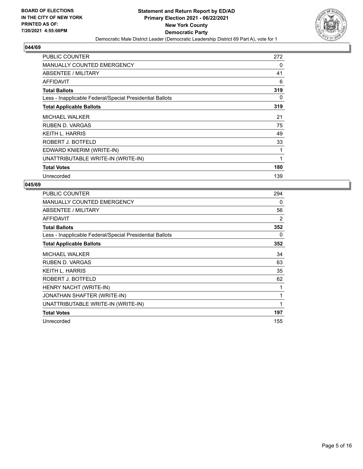

| <b>PUBLIC COUNTER</b>                                    | 272 |
|----------------------------------------------------------|-----|
| <b>MANUALLY COUNTED EMERGENCY</b>                        | 0   |
| <b>ABSENTEE / MILITARY</b>                               | 41  |
| AFFIDAVIT                                                | 6   |
| <b>Total Ballots</b>                                     | 319 |
| Less - Inapplicable Federal/Special Presidential Ballots | 0   |
| <b>Total Applicable Ballots</b>                          | 319 |
| <b>MICHAEL WALKER</b>                                    | 21  |
| RUBEN D. VARGAS                                          | 75  |
| KEITH L. HARRIS                                          | 49  |
| ROBERT J. BOTFELD                                        | 33  |
| EDWARD KNIERIM (WRITE-IN)                                | 1   |
| UNATTRIBUTABLE WRITE-IN (WRITE-IN)                       | 1   |
| <b>Total Votes</b>                                       | 180 |
| Unrecorded                                               | 139 |

| <b>PUBLIC COUNTER</b>                                    | 294 |
|----------------------------------------------------------|-----|
| <b>MANUALLY COUNTED EMERGENCY</b>                        | 0   |
| ABSENTEE / MILITARY                                      | 56  |
| AFFIDAVIT                                                | 2   |
| <b>Total Ballots</b>                                     | 352 |
| Less - Inapplicable Federal/Special Presidential Ballots | 0   |
| <b>Total Applicable Ballots</b>                          | 352 |
| <b>MICHAEL WALKER</b>                                    | 34  |
| <b>RUBEN D. VARGAS</b>                                   | 63  |
| <b>KEITH L. HARRIS</b>                                   | 35  |
| ROBERT J. BOTFELD                                        | 62  |
| HENRY NACHT (WRITE-IN)                                   | 1   |
| JONATHAN SHAFTER (WRITE-IN)                              | 1   |
| UNATTRIBUTABLE WRITE-IN (WRITE-IN)                       | 1   |
| <b>Total Votes</b>                                       | 197 |
| Unrecorded                                               | 155 |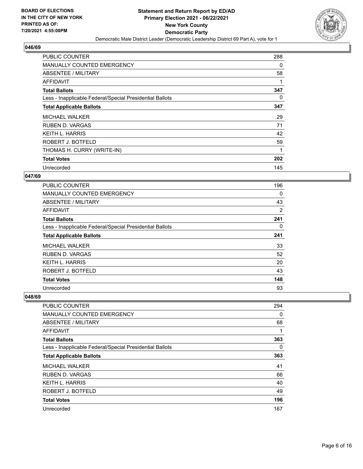

| <b>PUBLIC COUNTER</b>                                    | 288 |
|----------------------------------------------------------|-----|
| <b>MANUALLY COUNTED EMERGENCY</b>                        | 0   |
| ABSENTEE / MILITARY                                      | 58  |
| AFFIDAVIT                                                |     |
| <b>Total Ballots</b>                                     | 347 |
| Less - Inapplicable Federal/Special Presidential Ballots | 0   |
| <b>Total Applicable Ballots</b>                          | 347 |
| <b>MICHAEL WALKER</b>                                    | 29  |
| RUBEN D. VARGAS                                          | 71  |
| KEITH L. HARRIS                                          | 42  |
| ROBERT J. BOTFELD                                        | 59  |
| THOMAS H. CURRY (WRITE-IN)                               |     |
| <b>Total Votes</b>                                       | 202 |
| Unrecorded                                               | 145 |

# **047/69**

| PUBLIC COUNTER                                           | 196      |
|----------------------------------------------------------|----------|
| <b>MANUALLY COUNTED EMERGENCY</b>                        | $\Omega$ |
| ABSENTEE / MILITARY                                      | 43       |
| AFFIDAVIT                                                | 2        |
| <b>Total Ballots</b>                                     | 241      |
| Less - Inapplicable Federal/Special Presidential Ballots | 0        |
| <b>Total Applicable Ballots</b>                          | 241      |
| <b>MICHAEL WALKER</b>                                    | 33       |
| <b>RUBEN D. VARGAS</b>                                   | 52       |
| KEITH L. HARRIS                                          | 20       |
| ROBERT J. BOTFELD                                        | 43       |
| <b>Total Votes</b>                                       | 148      |
| Unrecorded                                               | 93       |

| <b>PUBLIC COUNTER</b>                                    | 294      |
|----------------------------------------------------------|----------|
| MANUALLY COUNTED EMERGENCY                               | 0        |
| ABSENTEE / MILITARY                                      | 68       |
| AFFIDAVIT                                                |          |
| <b>Total Ballots</b>                                     | 363      |
| Less - Inapplicable Federal/Special Presidential Ballots | $\Omega$ |
| <b>Total Applicable Ballots</b>                          | 363      |
| <b>MICHAEL WALKER</b>                                    | 41       |
| <b>RUBEN D. VARGAS</b>                                   | 66       |
| KEITH L. HARRIS                                          | 40       |
| ROBERT J. BOTFELD                                        | 49       |
| <b>Total Votes</b>                                       | 196      |
| Unrecorded                                               | 167      |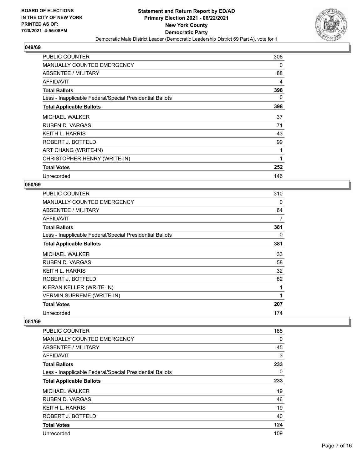

| <b>PUBLIC COUNTER</b>                                    | 306 |
|----------------------------------------------------------|-----|
| MANUALLY COUNTED EMERGENCY                               | 0   |
| ABSENTEE / MILITARY                                      | 88  |
| AFFIDAVIT                                                | 4   |
| <b>Total Ballots</b>                                     | 398 |
| Less - Inapplicable Federal/Special Presidential Ballots | 0   |
| <b>Total Applicable Ballots</b>                          | 398 |
| <b>MICHAEL WALKER</b>                                    | 37  |
| <b>RUBEN D. VARGAS</b>                                   | 71  |
| <b>KEITH L. HARRIS</b>                                   | 43  |
| ROBERT J. BOTFELD                                        | 99  |
| ART CHANG (WRITE-IN)                                     |     |
| CHRISTOPHER HENRY (WRITE-IN)                             | 1   |
| <b>Total Votes</b>                                       | 252 |
| Unrecorded                                               | 146 |

# **050/69**

| <b>PUBLIC COUNTER</b>                                    | 310 |
|----------------------------------------------------------|-----|
| <b>MANUALLY COUNTED EMERGENCY</b>                        | 0   |
| ABSENTEE / MILITARY                                      | 64  |
| AFFIDAVIT                                                | 7   |
| <b>Total Ballots</b>                                     | 381 |
| Less - Inapplicable Federal/Special Presidential Ballots | 0   |
| <b>Total Applicable Ballots</b>                          | 381 |
| <b>MICHAEL WALKER</b>                                    | 33  |
| <b>RUBEN D. VARGAS</b>                                   | 58  |
| <b>KEITH L. HARRIS</b>                                   | 32  |
| ROBERT J. BOTFELD                                        | 82  |
| KIERAN KELLER (WRITE-IN)                                 | 1   |
| <b>VERMIN SUPREME (WRITE-IN)</b>                         | 1   |
| <b>Total Votes</b>                                       | 207 |
| Unrecorded                                               | 174 |

| <b>PUBLIC COUNTER</b>                                    | 185 |
|----------------------------------------------------------|-----|
| MANUALLY COUNTED EMERGENCY                               | 0   |
| ABSENTEE / MILITARY                                      | 45  |
| AFFIDAVIT                                                | 3   |
| <b>Total Ballots</b>                                     | 233 |
| Less - Inapplicable Federal/Special Presidential Ballots | 0   |
| <b>Total Applicable Ballots</b>                          | 233 |
| <b>MICHAEL WALKER</b>                                    | 19  |
| RUBEN D. VARGAS                                          | 46  |
| <b>KEITH L. HARRIS</b>                                   | 19  |
| ROBERT J. BOTFELD                                        | 40  |
| <b>Total Votes</b>                                       | 124 |
| Unrecorded                                               | 109 |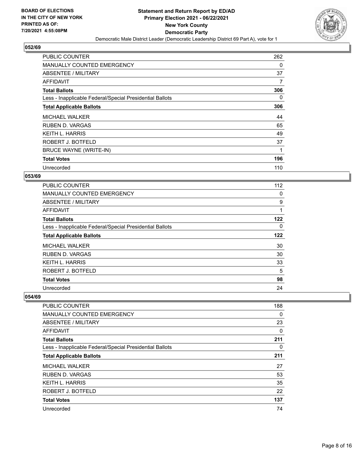

| PUBLIC COUNTER                                           | 262      |
|----------------------------------------------------------|----------|
| <b>MANUALLY COUNTED EMERGENCY</b>                        | 0        |
| ABSENTEE / MILITARY                                      | 37       |
| AFFIDAVIT                                                | 7        |
| <b>Total Ballots</b>                                     | 306      |
| Less - Inapplicable Federal/Special Presidential Ballots | $\Omega$ |
| <b>Total Applicable Ballots</b>                          | 306      |
| <b>MICHAEL WALKER</b>                                    | 44       |
| <b>RUBEN D. VARGAS</b>                                   | 65       |
| <b>KEITH L. HARRIS</b>                                   | 49       |
| ROBERT J. BOTFELD                                        | 37       |
| BRUCE WAYNE (WRITE-IN)                                   | 1        |
| <b>Total Votes</b>                                       | 196      |
| Unrecorded                                               | 110      |

# **053/69**

| <b>PUBLIC COUNTER</b>                                    | 112 |
|----------------------------------------------------------|-----|
| <b>MANUALLY COUNTED EMERGENCY</b>                        | 0   |
| ABSENTEE / MILITARY                                      | 9   |
| AFFIDAVIT                                                | 1   |
| <b>Total Ballots</b>                                     | 122 |
| Less - Inapplicable Federal/Special Presidential Ballots | 0   |
| <b>Total Applicable Ballots</b>                          | 122 |
| <b>MICHAEL WALKER</b>                                    | 30  |
| <b>RUBEN D. VARGAS</b>                                   | 30  |
| KEITH L. HARRIS                                          | 33  |
| ROBERT J. BOTFELD                                        | 5   |
| <b>Total Votes</b>                                       | 98  |
| Unrecorded                                               | 24  |

| <b>PUBLIC COUNTER</b>                                    | 188      |
|----------------------------------------------------------|----------|
| MANUALLY COUNTED EMERGENCY                               | $\Omega$ |
| ABSENTEE / MILITARY                                      | 23       |
| AFFIDAVIT                                                | 0        |
| <b>Total Ballots</b>                                     | 211      |
| Less - Inapplicable Federal/Special Presidential Ballots | 0        |
| <b>Total Applicable Ballots</b>                          | 211      |
| <b>MICHAEL WALKER</b>                                    | 27       |
| <b>RUBEN D. VARGAS</b>                                   | 53       |
| <b>KEITH L. HARRIS</b>                                   | 35       |
| ROBERT J. BOTFELD                                        | 22       |
| <b>Total Votes</b>                                       | 137      |
| Unrecorded                                               | 74       |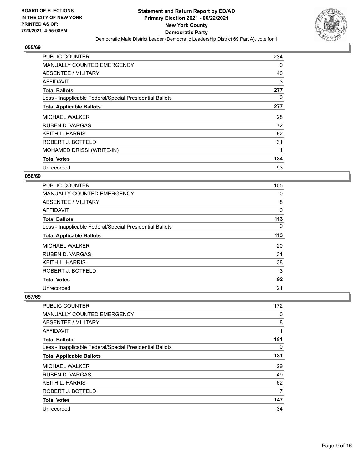

| <b>PUBLIC COUNTER</b>                                    | 234 |
|----------------------------------------------------------|-----|
| <b>MANUALLY COUNTED EMERGENCY</b>                        | 0   |
| ABSENTEE / MILITARY                                      | 40  |
| AFFIDAVIT                                                | 3   |
| <b>Total Ballots</b>                                     | 277 |
| Less - Inapplicable Federal/Special Presidential Ballots | 0   |
| <b>Total Applicable Ballots</b>                          | 277 |
| <b>MICHAEL WALKER</b>                                    | 28  |
| <b>RUBEN D. VARGAS</b>                                   | 72  |
| <b>KEITH L. HARRIS</b>                                   | 52  |
| ROBERT J. BOTFELD                                        | 31  |
| MOHAMED DRISSI (WRITE-IN)                                | 1   |
| <b>Total Votes</b>                                       | 184 |
| Unrecorded                                               | 93  |

# **056/69**

| <b>PUBLIC COUNTER</b>                                    | 105 |
|----------------------------------------------------------|-----|
| <b>MANUALLY COUNTED EMERGENCY</b>                        | 0   |
| ABSENTEE / MILITARY                                      | 8   |
| AFFIDAVIT                                                | 0   |
| <b>Total Ballots</b>                                     | 113 |
| Less - Inapplicable Federal/Special Presidential Ballots | 0   |
| <b>Total Applicable Ballots</b>                          | 113 |
| <b>MICHAEL WALKER</b>                                    | 20  |
| <b>RUBEN D. VARGAS</b>                                   | 31  |
| KEITH L. HARRIS                                          | 38  |
| ROBERT J. BOTFELD                                        | 3   |
| <b>Total Votes</b>                                       | 92  |
| Unrecorded                                               | 21  |

| <b>PUBLIC COUNTER</b>                                    | 172 |
|----------------------------------------------------------|-----|
| MANUALLY COUNTED EMERGENCY                               | 0   |
| ABSENTEE / MILITARY                                      | 8   |
| AFFIDAVIT                                                | 1   |
| <b>Total Ballots</b>                                     | 181 |
| Less - Inapplicable Federal/Special Presidential Ballots | 0   |
| <b>Total Applicable Ballots</b>                          | 181 |
| <b>MICHAEL WALKER</b>                                    | 29  |
| <b>RUBEN D. VARGAS</b>                                   | 49  |
| KEITH L. HARRIS                                          | 62  |
| ROBERT J. BOTFELD                                        | 7   |
| <b>Total Votes</b>                                       | 147 |
| Unrecorded                                               | 34  |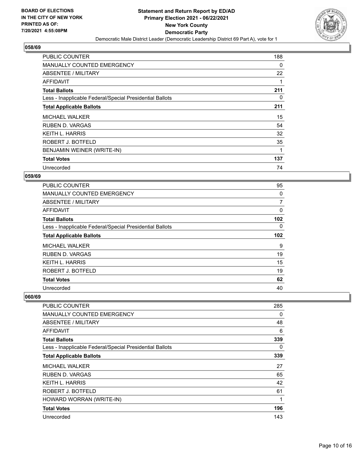

| PUBLIC COUNTER                                           | 188 |
|----------------------------------------------------------|-----|
| MANUALLY COUNTED EMERGENCY                               | 0   |
| ABSENTEE / MILITARY                                      | 22  |
| AFFIDAVIT                                                |     |
| <b>Total Ballots</b>                                     | 211 |
| Less - Inapplicable Federal/Special Presidential Ballots | 0   |
| <b>Total Applicable Ballots</b>                          | 211 |
| <b>MICHAEL WALKER</b>                                    | 15  |
| <b>RUBEN D. VARGAS</b>                                   | 54  |
| <b>KEITH L. HARRIS</b>                                   | 32  |
| ROBERT J. BOTFELD                                        | 35  |
| BENJAMIN WEINER (WRITE-IN)                               | 1   |
| <b>Total Votes</b>                                       | 137 |
| Unrecorded                                               | 74  |

# **059/69**

| <b>PUBLIC COUNTER</b>                                    | 95  |
|----------------------------------------------------------|-----|
| <b>MANUALLY COUNTED EMERGENCY</b>                        | 0   |
| ABSENTEE / MILITARY                                      | 7   |
| AFFIDAVIT                                                | 0   |
| <b>Total Ballots</b>                                     | 102 |
| Less - Inapplicable Federal/Special Presidential Ballots | 0   |
| <b>Total Applicable Ballots</b>                          | 102 |
| <b>MICHAEL WALKER</b>                                    | 9   |
| <b>RUBEN D. VARGAS</b>                                   | 19  |
| KEITH L. HARRIS                                          | 15  |
| ROBERT J. BOTFELD                                        | 19  |
| <b>Total Votes</b>                                       | 62  |
| Unrecorded                                               | 40  |

| <b>PUBLIC COUNTER</b>                                    | 285 |
|----------------------------------------------------------|-----|
| MANUALLY COUNTED EMERGENCY                               | 0   |
| ABSENTEE / MILITARY                                      | 48  |
| AFFIDAVIT                                                | 6   |
| <b>Total Ballots</b>                                     | 339 |
| Less - Inapplicable Federal/Special Presidential Ballots | 0   |
| <b>Total Applicable Ballots</b>                          | 339 |
| <b>MICHAEL WALKER</b>                                    | 27  |
| <b>RUBEN D. VARGAS</b>                                   | 65  |
| <b>KEITH L. HARRIS</b>                                   | 42  |
| ROBERT J. BOTFELD                                        | 61  |
| HOWARD WORRAN (WRITE-IN)                                 | 1   |
| <b>Total Votes</b>                                       | 196 |
| Unrecorded                                               | 143 |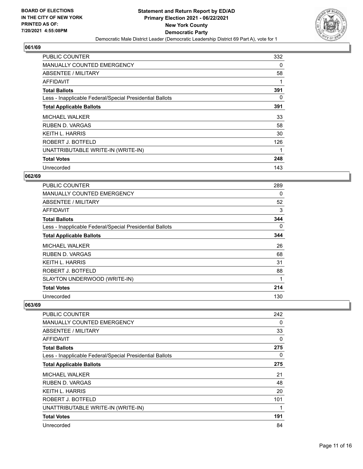

| <b>PUBLIC COUNTER</b>                                    | 332 |
|----------------------------------------------------------|-----|
| <b>MANUALLY COUNTED EMERGENCY</b>                        | 0   |
| ABSENTEE / MILITARY                                      | 58  |
| AFFIDAVIT                                                |     |
| <b>Total Ballots</b>                                     | 391 |
| Less - Inapplicable Federal/Special Presidential Ballots | 0   |
| <b>Total Applicable Ballots</b>                          | 391 |
| <b>MICHAEL WALKER</b>                                    | 33  |
| RUBEN D. VARGAS                                          | 58  |
| <b>KEITH L. HARRIS</b>                                   | 30  |
| ROBERT J. BOTFELD                                        | 126 |
| UNATTRIBUTABLE WRITE-IN (WRITE-IN)                       |     |
| <b>Total Votes</b>                                       | 248 |
| Unrecorded                                               | 143 |

# **062/69**

| <b>PUBLIC COUNTER</b>                                    | 289 |
|----------------------------------------------------------|-----|
| MANUALLY COUNTED EMERGENCY                               | 0   |
| ABSENTEE / MILITARY                                      | 52  |
| AFFIDAVIT                                                | 3   |
| <b>Total Ballots</b>                                     | 344 |
| Less - Inapplicable Federal/Special Presidential Ballots | 0   |
| <b>Total Applicable Ballots</b>                          | 344 |
| <b>MICHAEL WALKER</b>                                    | 26  |
| <b>RUBEN D. VARGAS</b>                                   | 68  |
| <b>KEITH L. HARRIS</b>                                   | 31  |
| ROBERT J. BOTFELD                                        | 88  |
| SLAYTON UNDERWOOD (WRITE-IN)                             | 1   |
| <b>Total Votes</b>                                       | 214 |
| Unrecorded                                               | 130 |

| <b>PUBLIC COUNTER</b>                                    | 242 |
|----------------------------------------------------------|-----|
| <b>MANUALLY COUNTED EMERGENCY</b>                        | 0   |
| <b>ABSENTEE / MILITARY</b>                               | 33  |
| <b>AFFIDAVIT</b>                                         | 0   |
| <b>Total Ballots</b>                                     | 275 |
| Less - Inapplicable Federal/Special Presidential Ballots | 0   |
| <b>Total Applicable Ballots</b>                          | 275 |
| <b>MICHAEL WALKER</b>                                    | 21  |
| RUBEN D. VARGAS                                          | 48  |
| <b>KEITH L. HARRIS</b>                                   | 20  |
| ROBERT J. BOTFELD                                        | 101 |
| UNATTRIBUTABLE WRITE-IN (WRITE-IN)                       |     |
| <b>Total Votes</b>                                       | 191 |
| Unrecorded                                               | 84  |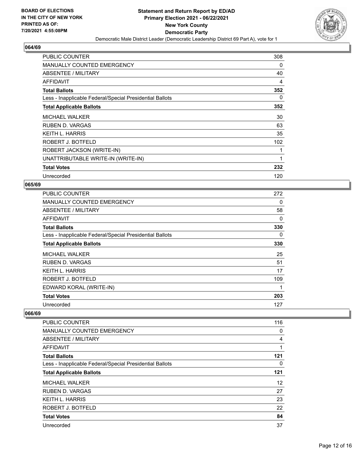

| <b>PUBLIC COUNTER</b>                                    | 308 |
|----------------------------------------------------------|-----|
| <b>MANUALLY COUNTED EMERGENCY</b>                        | 0   |
| ABSENTEE / MILITARY                                      | 40  |
| AFFIDAVIT                                                | 4   |
| <b>Total Ballots</b>                                     | 352 |
| Less - Inapplicable Federal/Special Presidential Ballots | 0   |
| <b>Total Applicable Ballots</b>                          | 352 |
| <b>MICHAEL WALKER</b>                                    | 30  |
| RUBEN D. VARGAS                                          | 63  |
| <b>KEITH L. HARRIS</b>                                   | 35  |
| ROBERT J. BOTFELD                                        | 102 |
| ROBERT JACKSON (WRITE-IN)                                |     |
| UNATTRIBUTABLE WRITE-IN (WRITE-IN)                       | 1   |
| <b>Total Votes</b>                                       | 232 |
| Unrecorded                                               | 120 |

# **065/69**

| <b>PUBLIC COUNTER</b>                                    | 272 |
|----------------------------------------------------------|-----|
| MANUALLY COUNTED EMERGENCY                               | 0   |
| ABSENTEE / MILITARY                                      | 58  |
| AFFIDAVIT                                                | 0   |
| <b>Total Ballots</b>                                     | 330 |
| Less - Inapplicable Federal/Special Presidential Ballots | 0   |
| <b>Total Applicable Ballots</b>                          | 330 |
| <b>MICHAEL WALKER</b>                                    | 25  |
| <b>RUBEN D. VARGAS</b>                                   | 51  |
| <b>KEITH L. HARRIS</b>                                   | 17  |
| ROBERT J. BOTFELD                                        | 109 |
| EDWARD KORAL (WRITE-IN)                                  | 1   |
| <b>Total Votes</b>                                       | 203 |
| Unrecorded                                               | 127 |

| <b>PUBLIC COUNTER</b>                                    | 116   |
|----------------------------------------------------------|-------|
| <b>MANUALLY COUNTED EMERGENCY</b>                        | 0     |
| ABSENTEE / MILITARY                                      | 4     |
| <b>AFFIDAVIT</b>                                         | 1     |
| <b>Total Ballots</b>                                     | $121$ |
| Less - Inapplicable Federal/Special Presidential Ballots | 0     |
| <b>Total Applicable Ballots</b>                          | 121   |
| <b>MICHAEL WALKER</b>                                    | 12    |
| <b>RUBEN D. VARGAS</b>                                   | 27    |
| <b>KEITH L. HARRIS</b>                                   | 23    |
| ROBERT J. BOTFELD                                        | 22    |
| <b>Total Votes</b>                                       | 84    |
| Unrecorded                                               | 37    |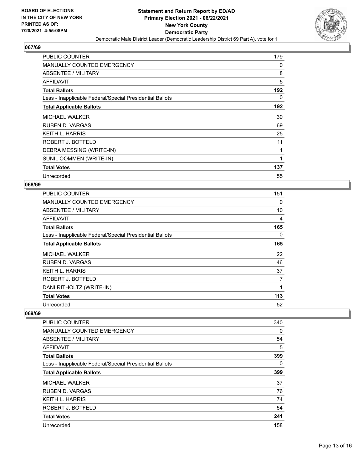

| <b>PUBLIC COUNTER</b>                                    | 179      |
|----------------------------------------------------------|----------|
| <b>MANUALLY COUNTED EMERGENCY</b>                        | 0        |
| ABSENTEE / MILITARY                                      | 8        |
| AFFIDAVIT                                                | 5        |
| <b>Total Ballots</b>                                     | 192      |
| Less - Inapplicable Federal/Special Presidential Ballots | $\Omega$ |
| <b>Total Applicable Ballots</b>                          | 192      |
| <b>MICHAEL WALKER</b>                                    | 30       |
| RUBEN D. VARGAS                                          | 69       |
| <b>KEITH L. HARRIS</b>                                   | 25       |
| ROBERT J. BOTFELD                                        | 11       |
| DEBRA MESSING (WRITE-IN)                                 | 1        |
| SUNIL OOMMEN (WRITE-IN)                                  | 1        |
| <b>Total Votes</b>                                       | 137      |
| Unrecorded                                               | 55       |

# **068/69**

| <b>PUBLIC COUNTER</b>                                    | 151 |
|----------------------------------------------------------|-----|
| MANUALLY COUNTED EMERGENCY                               | 0   |
| ABSENTEE / MILITARY                                      | 10  |
| AFFIDAVIT                                                | 4   |
| <b>Total Ballots</b>                                     | 165 |
| Less - Inapplicable Federal/Special Presidential Ballots | 0   |
| <b>Total Applicable Ballots</b>                          | 165 |
| <b>MICHAEL WALKER</b>                                    | 22  |
| <b>RUBEN D. VARGAS</b>                                   | 46  |
| <b>KEITH L. HARRIS</b>                                   | 37  |
| ROBERT J. BOTFELD                                        | 7   |
| DANI RITHOLTZ (WRITE-IN)                                 |     |
| <b>Total Votes</b>                                       | 113 |
| Unrecorded                                               | 52  |

| <b>PUBLIC COUNTER</b>                                    | 340      |
|----------------------------------------------------------|----------|
| <b>MANUALLY COUNTED EMERGENCY</b>                        | 0        |
| ABSENTEE / MILITARY                                      | 54       |
| <b>AFFIDAVIT</b>                                         | 5        |
| <b>Total Ballots</b>                                     | 399      |
| Less - Inapplicable Federal/Special Presidential Ballots | $\Omega$ |
| <b>Total Applicable Ballots</b>                          | 399      |
| <b>MICHAEL WALKER</b>                                    | 37       |
| <b>RUBEN D. VARGAS</b>                                   | 76       |
| <b>KEITH L. HARRIS</b>                                   | 74       |
| ROBERT J. BOTFELD                                        | 54       |
| <b>Total Votes</b>                                       | 241      |
| Unrecorded                                               | 158      |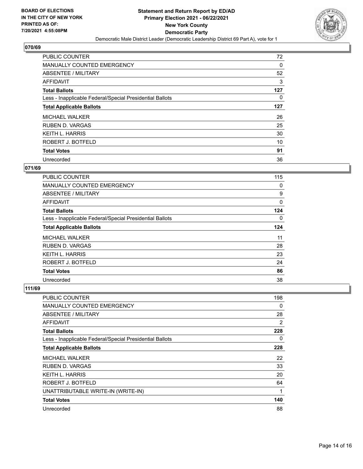

| <b>PUBLIC COUNTER</b>                                    | 72       |
|----------------------------------------------------------|----------|
| <b>MANUALLY COUNTED EMERGENCY</b>                        | $\Omega$ |
| ABSENTEE / MILITARY                                      | 52       |
| <b>AFFIDAVIT</b>                                         | 3        |
| <b>Total Ballots</b>                                     | 127      |
| Less - Inapplicable Federal/Special Presidential Ballots | 0        |
| <b>Total Applicable Ballots</b>                          | 127      |
| <b>MICHAEL WALKER</b>                                    | 26       |
| <b>RUBEN D. VARGAS</b>                                   | 25       |
| <b>KEITH L. HARRIS</b>                                   | 30       |
| ROBERT J. BOTFELD                                        | 10       |
| <b>Total Votes</b>                                       | 91       |
| Unrecorded                                               | 36       |

# **071/69**

| PUBLIC COUNTER                                           | 115 |
|----------------------------------------------------------|-----|
| MANUALLY COUNTED EMERGENCY                               | 0   |
| ABSENTEE / MILITARY                                      | 9   |
| AFFIDAVIT                                                | 0   |
| <b>Total Ballots</b>                                     | 124 |
| Less - Inapplicable Federal/Special Presidential Ballots | 0   |
| <b>Total Applicable Ballots</b>                          | 124 |
| <b>MICHAEL WALKER</b>                                    | 11  |
| <b>RUBEN D. VARGAS</b>                                   | 28  |
| <b>KEITH L. HARRIS</b>                                   | 23  |
| ROBERT J. BOTFELD                                        | 24  |
| <b>Total Votes</b>                                       | 86  |
| Unrecorded                                               | 38  |

| PUBLIC COUNTER                                           | 198            |
|----------------------------------------------------------|----------------|
| MANUALLY COUNTED EMERGENCY                               | 0              |
| ABSENTEE / MILITARY                                      | 28             |
| AFFIDAVIT                                                | $\overline{2}$ |
| <b>Total Ballots</b>                                     | 228            |
| Less - Inapplicable Federal/Special Presidential Ballots | 0              |
| <b>Total Applicable Ballots</b>                          | 228            |
| <b>MICHAEL WALKER</b>                                    | 22             |
| <b>RUBEN D. VARGAS</b>                                   | 33             |
| <b>KEITH L. HARRIS</b>                                   | 20             |
| ROBERT J. BOTFELD                                        | 64             |
| UNATTRIBUTABLE WRITE-IN (WRITE-IN)                       | 1              |
| <b>Total Votes</b>                                       | 140            |
| Unrecorded                                               | 88             |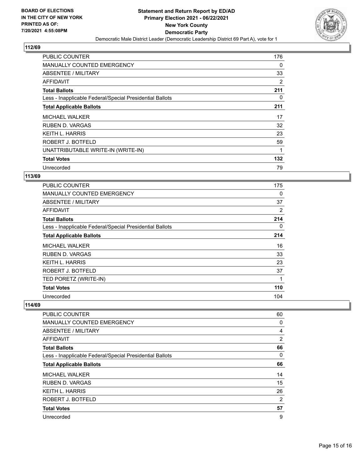

| <b>PUBLIC COUNTER</b>                                    | 176 |
|----------------------------------------------------------|-----|
| MANUALLY COUNTED EMERGENCY                               | 0   |
| <b>ABSENTEE / MILITARY</b>                               | 33  |
| AFFIDAVIT                                                | 2   |
| <b>Total Ballots</b>                                     | 211 |
| Less - Inapplicable Federal/Special Presidential Ballots | 0   |
| <b>Total Applicable Ballots</b>                          | 211 |
| <b>MICHAEL WALKER</b>                                    | 17  |
| <b>RUBEN D. VARGAS</b>                                   | 32  |
| <b>KEITH L. HARRIS</b>                                   | 23  |
| ROBERT J. BOTFELD                                        | 59  |
| UNATTRIBUTABLE WRITE-IN (WRITE-IN)                       |     |
| <b>Total Votes</b>                                       | 132 |
| Unrecorded                                               | 79  |

#### **113/69**

| <b>PUBLIC COUNTER</b>                                    | 175 |
|----------------------------------------------------------|-----|
| <b>MANUALLY COUNTED EMERGENCY</b>                        | 0   |
| ABSENTEE / MILITARY                                      | 37  |
| AFFIDAVIT                                                | 2   |
| <b>Total Ballots</b>                                     | 214 |
| Less - Inapplicable Federal/Special Presidential Ballots | 0   |
| <b>Total Applicable Ballots</b>                          | 214 |
| <b>MICHAEL WALKER</b>                                    | 16  |
| <b>RUBEN D. VARGAS</b>                                   | 33  |
| <b>KEITH L. HARRIS</b>                                   | 23  |
| ROBERT J. BOTFELD                                        | 37  |
| TED PORETZ (WRITE-IN)                                    | 1   |
| <b>Total Votes</b>                                       | 110 |
| Unrecorded                                               | 104 |

| <b>PUBLIC COUNTER</b>                                    | 60             |
|----------------------------------------------------------|----------------|
| MANUALLY COUNTED EMERGENCY                               | 0              |
| ABSENTEE / MILITARY                                      | $\overline{4}$ |
| <b>AFFIDAVIT</b>                                         | 2              |
| <b>Total Ballots</b>                                     | 66             |
| Less - Inapplicable Federal/Special Presidential Ballots | 0              |
| <b>Total Applicable Ballots</b>                          | 66             |
| <b>MICHAEL WALKER</b>                                    | 14             |
| <b>RUBEN D. VARGAS</b>                                   | 15             |
| <b>KEITH L. HARRIS</b>                                   | 26             |
| ROBERT J. BOTFELD                                        | $\overline{2}$ |
| <b>Total Votes</b>                                       | 57             |
| Unrecorded                                               | 9              |